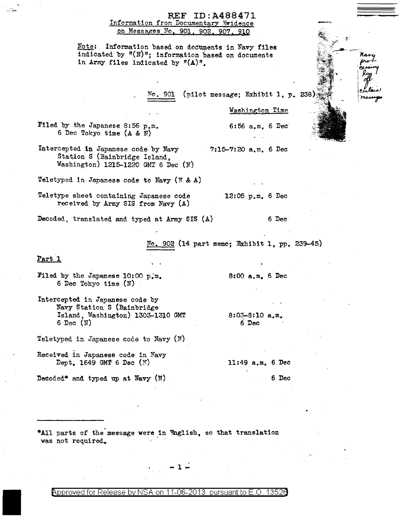#### REF ID:A488471 Information from Documentary Evidence on Messages *No,* 901, 902. 907, 9!Q

Note: Information based on docnunents in Navy files indicated by  $^{\mathfrak{m}}(N)^{\mathfrak{m}}$ ; information based on documents in Army files indicated by  $f(A)^n$ .

No. 901 (pilot message; Exhibit 1, p.

Filed by the Japanese 8:56 p,m. 6 Dec Tokyo time (A & N)

Intercepted in Japanese code by Navy Station S (Bainbridge Island, Washington) 1215-1220 GMT 6 Dec (N) 7:15-7:20 a.m. 6 Dec

Teletyped in Japanese code to Navy ( $M & A$ )

Teletype sheet containing Japanese code 12:05 p.m. 6 Dec received by Army SIS from Navy (A)

8:00 a.m. 6 Dec

8:03-8:10 a,m. 6 Dec

Washington Time

6 *:* 56 a. m, 6 Dec·

Decoded, translated and typed at Army SIS (A) 6 Dec-

902 (14 part memo; Exhibit 1, pp. 239-45)

Part 1

Filed by the Japanese 10:00 p.m. 6 Dec Tokyo time (N) ·

Intercepted in Japanese code by Navy Station S (Bainbridge Island, Washington) 1303-13l0 GMT 6 Dec  $(\mathbb{N})$ 

Teletyped in Japanese code to Navy  $(N)$ .

Received in Japanese code in Navy Dept. 1649 GMT 6 Dec (N)

11:49 a,m. 6 Dec

Decoded\* and typed up at Navy (N)

6 Dec

\*All parts of the message were in English, so that translation was not required.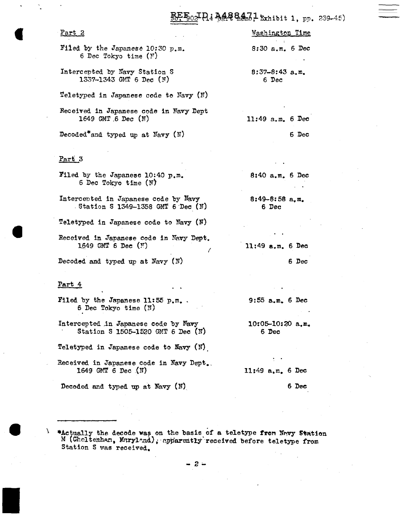### $_{02}$  Pi M488471 exhibit 1, pp. 239-45)

| <u>Part 2</u>                                                                | Washington Time            |
|------------------------------------------------------------------------------|----------------------------|
| Filed by the Japanese 10:30 $p_{\bullet}m_{\bullet}$<br>6 Dec Tokyo time (N) | $8:30$ a.m. 6 Dec          |
| Intercepted by Navy Station S<br>1337-1343 GMT 6 Dec (N)                     | $8:37-8:43$ a.m.<br>6 Dec  |
| Teletyped in Japanese code to Navy (N)                                       |                            |
| Received in Japanese code in Navy Dept<br>1649 GMT 6 Dec $(N)$               | $11:49$ a.m. 6 Dec         |
| Decoded*and typed up at Navy (N)                                             | 6 Dec                      |
|                                                                              |                            |
| Part 3                                                                       |                            |
| Filed by the Japanese 10:40 p.m.<br>6 Dec Tokyo time (N)                     | $8:40$ a.m. 6 Dec          |
| Intercepted in Japanese code by Navy<br>Station S 1349-1358 GMT 6 Dec (N)    | $8:49-8:58$ a, m.<br>6 Dec |
| Teletyped in Japanese code to Navy $(N)$                                     |                            |
| Received in Japanese code in Navy Dept.<br>1649 GMT 6 Dec $(\mathbb{N})$     | $11:49$ a.m. 6 Dec         |

(

Decoded and typed up at Navy (N)

#### Part 4

I

Filed by the Japanese 11:55 p.m. 6 Dec Tokyo time (N)

Intercepted in Japanese code by Navy Station S 1505-1520 GMT 6 Dec (N)

Teletyped in Japanese code to Navy (N).

Received in Japanese code in Navy Dept.\_ 1649 GMT 6 Dec  $(N)$ 

Decoded and typed up at Navy (N)

 $9:55$  a.m. 6 Dec

6 Dec

 $10:05 - 10:20$  a.m. 6 Dec

11:49 a.m. 6 Dec

6 Dee

**•**Actually the decode was on the basis of a teletype from Navy Station M (Cheltenham, Maryland), apparently received before teletype from Station S was received.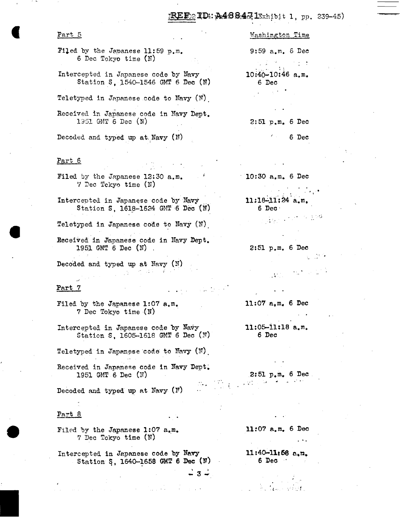#### $\text{ED2}$  ID::  $\text{A48}$  &  $\text{A7}$  IExhibit 1, pp. 239-45)

# Part 5

- Filed by the Japanese 11:59  $p.m.$ 6 Dec Tokyo time (N)
- Intercepted in Japanese code by Navy Station S. 1540-1546 GMT 6 Dec  $(N)$

Teletyped in Japanese code to Navy  $(N)$ .

- Received in Japanese code in Navy Dept. 1951 GMT 6 Dec (N)
- Decoded and typed up at.Navy (M)

#### Part 6

- Filed by the Japanese 12:30 a.m.  $\%$  Dec Tckyo time (N)
- Intercented in Japanese code by Navy Station S, 1618-1624 GMT 6 Dec (N)
- Teletyped in Japanese code to Navy (N)
- Received in Japanese code in Navy Dept. 1951 GMT 6 Dec (N) .

 $\mathcal{L}^{\mathcal{A}}(\mathcal{A})$  , and the set of the set of the  $\mathcal{A}$ 

Decoded and typed up at  $Mary(N)$ 

## Part 7 .. -

- Filed by the Japanese 1:07  $a.m.$ 7 Dec Tokyo time {N)
- Intercepted in Japanese code by Navy Station S, 1605-1618 GMT 6 Dec  $(\mathbb{N})$
- Teletyped in Japanese code to  $\mathbb{N}$ avy (N).
- Received in Japanese code in Navy Dept. 1951 GMT 6 Dec (N)

Decoded and typed up at Navy  $(N)$ 

#### Part 8

- Filed by the Japanese 1:07  $a_{\bullet}m_{\bullet}$ 7 Dec Tokyo time (N)
- Intercepted in Japanese code by Navy Station S, 1640-1658 GMT 6 Dec  $(\mathbb{N})$

← 3 ←

Washington Time

9:59 a.m. 6 Dee

 $\mathcal{L}^{\mathcal{A}}(\mathcal{A})$  $\sim 100$  $10:40-10:46$  a.m. 6 Dec

2: 51 p.m. 6 Dec

 $6$  Dec

10:30 a.m. 6 Dee

 $11:18-11:24$  a.m. 6 Dec·

 $\frac{1}{2}$  in the set of  $\frac{1}{2}$ .•..:.

2:51 p.m. 6 Dec

..

11:07 a.m. 6 Dec

11:05-11:18 a.m. 6 Dec

 $2:51$   $p_{\bullet}$  m. 6 Dec

11 :07 a. m. 6 Dec

...

ll:40-llt68 n.n.  $6$   $Dec$   $\cdot$ 

 $\mathcal{E} = \frac{1}{\sqrt{2}}$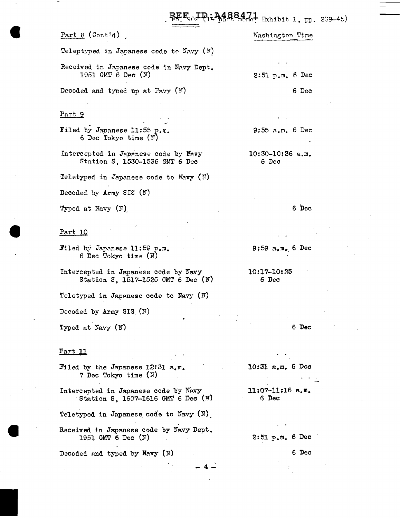### 90<del>. Pri<sup>2</sup> 248847.1</del> Exhibit 1, pp. 239-45)

#### Part  $8$  (Cont'd)

Washington Time

Teleptyped in Javanese code to Navy  $(N)$ 

Received in Japanese code in Navy Dept. 1951 GMT 6 Dee (N)

Decoded and typed up at  $\mathbb{F}_{\text{avy}}(\mathbb{N})$ 

#### Part 9

Filed by Japanese 11:55 p.m. 6 Dec Tokyo time  $(Y)$ 

Intercepted in Japanese code by Navy Station S, 1530-1536 GMT 6 Dec

Teletyped in Japanese code to Navy  $(N)$ 

Decoded by Army SIS (N)

Typed at Navy (N)

#### Part lQ

Filed by Japanese 11:59 p.m. 6 Dec Tokyo time {N)

Intercepted in Japanese code by Navy Station S, 1517-1525 GMT 6 Dec  $(N)$ 

Teletyped in Japanese code to Navy  $(N)$ 

Decoded by Army SIS (N)

Typed at Navy {N)

#### Part 11

Filed by the Japanese 12:31  $a_{\bullet}m_{\bullet}$ 7 Dec Tokyo time (N)

Intercepted in Japanese code by Navy Station S, 1607-1616 GMT 6 Dec (N)

Teletyped in Japanese code to Navy  $(N)$ .

Received in Japanese code by Navy Dept. 19.51 GMT 6 Dec (N)

Decoded and typed by Navy  $(N)$ 

2:51 p.m. 6 Dec

6 Dec

9:55 a.m. 6 Dec

10:30-10:36 a.m. 6 Dec

6 Dec

9:59 a.m., 6 Dec

10:17-10:25 6 Dec

6 Dec

 $10:31$  a.m. 6 Dec

11:07-11:16 a.m. 6 Dec

2:51 *p.m.* 6 Dec

6 Dec

 $-4$   $-$ 

)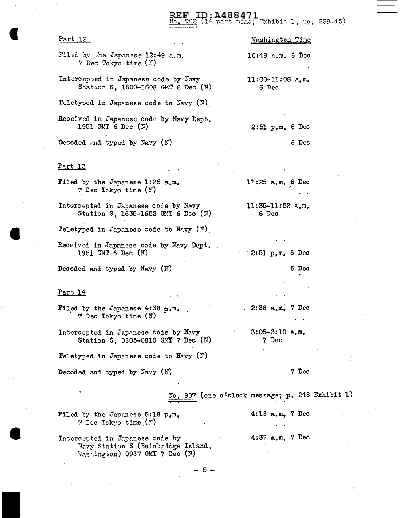D: A488471<br>(14 part memo; Exhibit 1, pp. 239-45)

| <u>Part 12</u>                                                               | Washington Time             |
|------------------------------------------------------------------------------|-----------------------------|
| Filed by the Japanese 12:49 a.m.<br>7 Dec Tokyo time (N)                     | $10:49$ a.m. 6 Dec          |
| Intercepted in Japanese code by Navy<br>Station S, 1600-1608 GMT 6 Dec $(N)$ | $11:00-11:08$ a.m.<br>6 Dec |
| Teletyped in Japanese code to Navy (N)                                       |                             |
| Received in Japanese code by Navy Dept.<br>1951 GMT 6 Dec (N)                | $2:51$ p.m. 6 Dec           |
| Decoded and typed by Navy $(N)$                                              | 6 Dec                       |
| <u>Part 13</u>                                                               |                             |
| Filed by the Japanese 1:25 a.m.<br>7 Dec Tokyo time (N)                      | 11:25 $a.m. 6$ Dec          |

Intercepted in Japanese code by Navy Station S, 1635-1652 GMT 6 Dec (N)

Teletyped in Japanese code to Navy  $(N)$ .

Received in Japanese code by Navy Dept. 1951 GMT 6 Dec (W)

Decoded and typed by Navy (N)

#### Part 14

Filed by the Japanese 4:38 p.m. · 7 Dec Tokyo time (N) ,  $2:38$  a, m. 7 Dec

Intercepted in Japanese code by Navy Station S, 0805-0810 GMT 7 Dec (N)

Teletyped in Japanese code to Navy  $(W)$ 

Decoded and typed by Navy (N)

7 Dec

6 Dec

No. 907 (one o<sup>1</sup>clock message; p. 248 Exhibit 1)

 $11:35-11:52$  a.m. 6 Dec

 $2:51$  p.m. 6 Dec

 $3:05-3:10$  a.m. 7 Dec

4:18 a.m. 7 Dec

4:37 a.m. 7 Dec

Filed by the Japanese 6:18 p.m. ? Dec Tokyo time. (N)

Intercepted in Japanese code by Nevy Station S (Bainbridge Island, Washington) 0937 GMT 7 Dec  $(N)^T$ 

5-